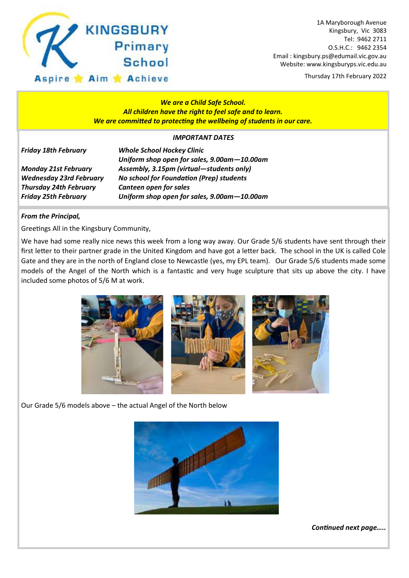

1A Maryborough Avenue Kingsbury, Vic 3083 Tel: 9462 2711 O.S.H.C.: 9462 2354 Email : kingsbury.ps@edumail.vic.gov.au Website: www.kingsburyps.vic.edu.au

Thursday 17th February 2022

### *We are a Child Safe School. All children have the right to feel safe and to learn. We are committed to protecting the wellbeing of students in our care.*

### *IMPORTANT DATES*

| <b>Friday 18th February</b> |  |
|-----------------------------|--|
|-----------------------------|--|

*Thursday 24th February Canteen open for sales*

*Whole School Hockey Clinic Uniform shop open for sales, 9.00am—10.00am Monday 21st February Assembly, 3.15pm (virtual—students only) Wednesday 23rd February No school for Foundation (Prep) students Friday 25th February Uniform shop open for sales, 9.00am—10.00am*

### *From the Principal,*

Greetings All in the Kingsbury Community,

We have had some really nice news this week from a long way away. Our Grade 5/6 students have sent through their first letter to their partner grade in the United Kingdom and have got a letter back. The school in the UK is called Cole Gate and they are in the north of England close to Newcastle (yes, my EPL team). Our Grade 5/6 students made some models of the Angel of the North which is a fantastic and very huge sculpture that sits up above the city. I have included some photos of 5/6 M at work.



Our Grade 5/6 models above – the actual Angel of the North below



*Continued next page…..*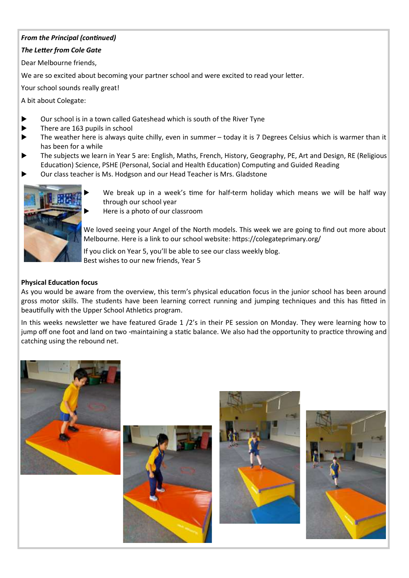### *From the Principal (continued)*

### *The Letter from Cole Gate*

Dear Melbourne friends,

We are so excited about becoming your partner school and were excited to read your letter.

Your school sounds really great!

A bit about Colegate:

- Our school is in a town called Gateshead which is south of the River Tyne
- $\blacktriangleright$  There are 163 pupils in school
- The weather here is always quite chilly, even in summer today it is 7 Degrees Celsius which is warmer than it has been for a while
- The subjects we learn in Year 5 are: English, Maths, French, History, Geography, PE, Art and Design, RE (Religious Education) Science, PSHE (Personal, Social and Health Education) Computing and Guided Reading
- Our class teacher is Ms. Hodgson and our Head Teacher is Mrs. Gladstone



 We break up in a week's time for half-term holiday which means we will be half way through our school year

Here is a photo of our classroom

We loved seeing your Angel of the North models. This week we are going to find out more about Melbourne. Here is a link to our school website: https://colegateprimary.org/

If you click on Year 5, you'll be able to see our class weekly blog. Best wishes to our new friends, Year 5

### **Physical Education focus**

As you would be aware from the overview, this term's physical education focus in the junior school has been around gross motor skills. The students have been learning correct running and jumping techniques and this has fitted in beautifully with the Upper School Athletics program.

In this weeks newsletter we have featured Grade 1 /2's in their PE session on Monday. They were learning how to jump off one foot and land on two -maintaining a static balance. We also had the opportunity to practice throwing and catching using the rebound net.

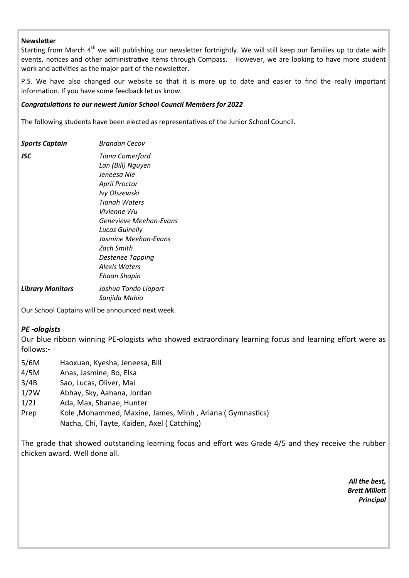### **Newsletter**

Starting from March 4<sup>th</sup> we will publishing our newsletter fortnightly. We will still keep our families up to date with events, notices and other administrative items through Compass. However, we are looking to have more student work and activities as the major part of the newsletter.

P.S. We have also changed our website so that it is more up to date and easier to find the really important information. If you have some feedback let us know.

#### *Congratulations to our newest Junior School Council Members for 2022*

The following students have been elected as representatives of the Junior School Council.

| Sports Captain          | <b>Brandan Cecov</b>                                                                                                                                                                                                                                                |
|-------------------------|---------------------------------------------------------------------------------------------------------------------------------------------------------------------------------------------------------------------------------------------------------------------|
| JSC                     | Tiana Comerford<br>Lan (Bill) Nguyen<br>Jeneesa Nie<br>April Proctor<br>Ivy Olszewski<br>Tianah Waters<br>Vivienne Wu<br>Genevieve Meehan-Evans<br>Lucas Guinelly<br>Jasmine Meehan-Evans<br>Zach Smith<br>Destenee Tapping<br>Alexis Waters<br><b>Ehaan Shapin</b> |
| <b>Library Monitors</b> | Joshua Tondo Llopart<br>Sanjida Mahia                                                                                                                                                                                                                               |

Our School Captains will be announced next week.

### *PE -ologists*

Our blue ribbon winning PE-ologists who showed extraordinary learning focus and learning effort were as follows:-

- 5/6M Haoxuan, Kyesha, Jeneesa, Bill
- 4/5M Anas, Jasmine, Bo, Elsa
- 3/4B Sao, Lucas, Oliver, Mai
- 1/2W Abhay, Sky, Aahana, Jordan
- 1/2J Ada, Max, Shanae, Hunter
- Prep Kole, Mohammed, Maxine, James, Minh, Ariana ( Gymnastics) Nacha, Chi, Tayte, Kaiden, Axel ( Catching)

The grade that showed outstanding learning focus and effort was Grade 4/5 and they receive the rubber chicken award. Well done all.

> *All the best, Brett Millott Principal*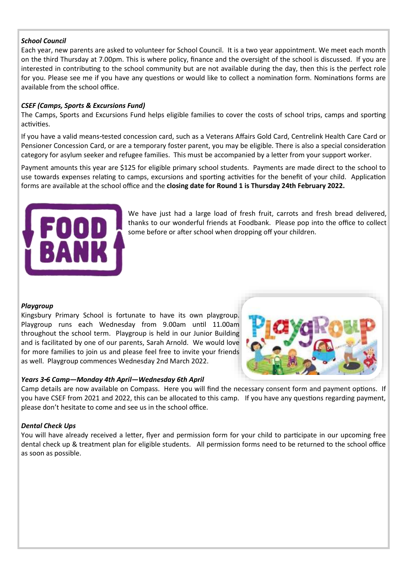### *School Council*

Each year, new parents are asked to volunteer for School Council. It is a two year appointment. We meet each month on the third Thursday at 7.00pm. This is where policy, finance and the oversight of the school is discussed. If you are interested in contributing to the school community but are not available during the day, then this is the perfect role for you. Please see me if you have any questions or would like to collect a nomination form. Nominations forms are available from the school office.

### *CSEF (Camps, Sports & Excursions Fund)*

The Camps, Sports and Excursions Fund helps eligible families to cover the costs of school trips, camps and sporting activities.

If you have a valid means-tested concession card, such as a Veterans Affairs Gold Card, Centrelink Health Care Card or Pensioner Concession Card, or are a temporary foster parent, you may be eligible. There is also a special consideration category for asylum seeker and refugee families. This must be accompanied by a letter from your support worker.

Payment amounts this year are \$125 for eligible primary school students. Payments are made direct to the school to use towards expenses relating to camps, excursions and sporting activities for the benefit of your child. Application forms are available at the school office and the **closing date for Round 1 is Thursday 24th February 2022.**



We have just had a large load of fresh fruit, carrots and fresh bread delivered, thanks to our wonderful friends at Foodbank. Please pop into the office to collect some before or after school when dropping off your children.

### *Playgroup*

Kingsbury Primary School is fortunate to have its own playgroup. Playgroup runs each Wednesday from 9.00am until 11.00am throughout the school term. Playgroup is held in our Junior Building and is facilitated by one of our parents, Sarah Arnold. We would love for more families to join us and please feel free to invite your friends as well. Playgroup commences Wednesday 2nd March 2022.



### *Years 3-6 Camp—Monday 4th April—Wednesday 6th April*

Camp details are now available on Compass. Here you will find the necessary consent form and payment options. If you have CSEF from 2021 and 2022, this can be allocated to this camp. If you have any questions regarding payment, please don't hesitate to come and see us in the school office.

### *Dental Check Ups*

You will have already received a letter, flyer and permission form for your child to participate in our upcoming free dental check up & treatment plan for eligible students. All permission forms need to be returned to the school office as soon as possible.